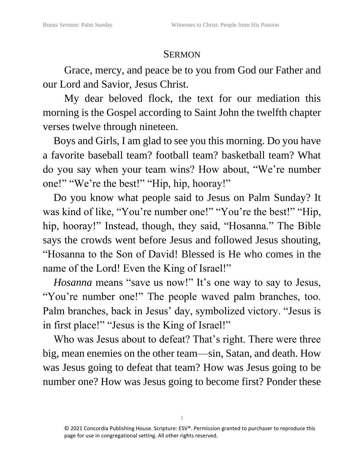## **SERMON**

Grace, mercy, and peace be to you from God our Father and our Lord and Savior, Jesus Christ.

My dear beloved flock, the text for our mediation this morning is the Gospel according to Saint John the twelfth chapter verses twelve through nineteen.

Boys and Girls, I am glad to see you this morning. Do you have a favorite baseball team? football team? basketball team? What do you say when your team wins? How about, "We're number one!" "We're the best!" "Hip, hip, hooray!"

Do you know what people said to Jesus on Palm Sunday? It was kind of like, "You're number one!" "You're the best!" "Hip, hip, hooray!" Instead, though, they said, "Hosanna." The Bible says the crowds went before Jesus and followed Jesus shouting, "Hosanna to the Son of David! Blessed is He who comes in the name of the Lord! Even the King of Israel!"

*Hosanna* means "save us now!" It's one way to say to Jesus, "You're number one!" The people waved palm branches, too. Palm branches, back in Jesus' day, symbolized victory. "Jesus is in first place!" "Jesus is the King of Israel!"

Who was Jesus about to defeat? That's right. There were three big, mean enemies on the other team—sin, Satan, and death. How was Jesus going to defeat that team? How was Jesus going to be number one? How was Jesus going to become first? Ponder these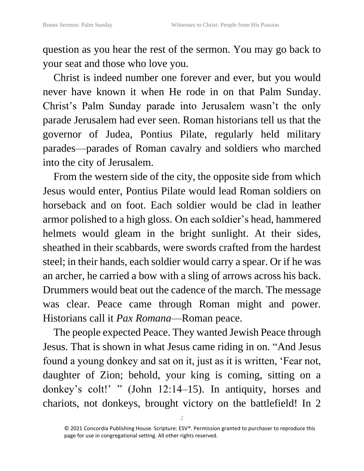question as you hear the rest of the sermon. You may go back to your seat and those who love you.

Christ is indeed number one forever and ever, but you would never have known it when He rode in on that Palm Sunday. Christ's Palm Sunday parade into Jerusalem wasn't the only parade Jerusalem had ever seen. Roman historians tell us that the governor of Judea, Pontius Pilate, regularly held military parades—parades of Roman cavalry and soldiers who marched into the city of Jerusalem.

From the western side of the city, the opposite side from which Jesus would enter, Pontius Pilate would lead Roman soldiers on horseback and on foot. Each soldier would be clad in leather armor polished to a high gloss. On each soldier's head, hammered helmets would gleam in the bright sunlight. At their sides, sheathed in their scabbards, were swords crafted from the hardest steel; in their hands, each soldier would carry a spear. Or if he was an archer, he carried a bow with a sling of arrows across his back. Drummers would beat out the cadence of the march. The message was clear. Peace came through Roman might and power. Historians call it *Pax Romana*—Roman peace.

The people expected Peace. They wanted Jewish Peace through Jesus. That is shown in what Jesus came riding in on. "And Jesus found a young donkey and sat on it, just as it is written, 'Fear not, daughter of Zion; behold, your king is coming, sitting on a donkey's colt!' " (John 12:14–15). In antiquity, horses and chariots, not donkeys, brought victory on the battlefield! In 2

<sup>© 2021</sup> Concordia Publishing House. Scripture: ESV®. Permission granted to purchaser to reproduce this page for use in congregational setting. All other rights reserved.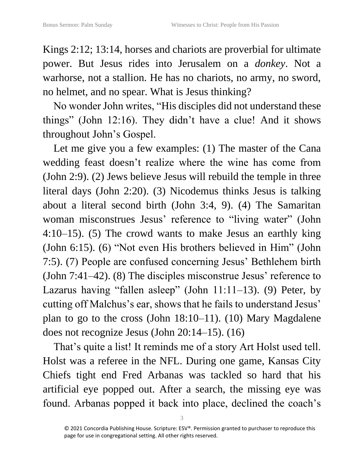Kings 2:12; 13:14, horses and chariots are proverbial for ultimate power. But Jesus rides into Jerusalem on a *donkey*. Not a warhorse, not a stallion. He has no chariots, no army, no sword, no helmet, and no spear. What is Jesus thinking?

No wonder John writes, "His disciples did not understand these things" (John 12:16). They didn't have a clue! And it shows throughout John's Gospel.

Let me give you a few examples: (1) The master of the Cana wedding feast doesn't realize where the wine has come from (John 2:9). (2) Jews believe Jesus will rebuild the temple in three literal days (John 2:20). (3) Nicodemus thinks Jesus is talking about a literal second birth (John 3:4, 9). (4) The Samaritan woman misconstrues Jesus' reference to "living water" (John 4:10–15). (5) The crowd wants to make Jesus an earthly king (John 6:15). (6) "Not even His brothers believed in Him" (John 7:5). (7) People are confused concerning Jesus' Bethlehem birth (John 7:41–42). (8) The disciples misconstrue Jesus' reference to Lazarus having "fallen asleep" (John 11:11–13). (9) Peter, by cutting off Malchus's ear, shows that he fails to understand Jesus' plan to go to the cross (John 18:10–11). (10) Mary Magdalene does not recognize Jesus (John 20:14–15). (16)

That's quite a list! It reminds me of a story Art Holst used tell. Holst was a referee in the NFL. During one game, Kansas City Chiefs tight end Fred Arbanas was tackled so hard that his artificial eye popped out. After a search, the missing eye was found. Arbanas popped it back into place, declined the coach's

<sup>© 2021</sup> Concordia Publishing House. Scripture: ESV®. Permission granted to purchaser to reproduce this page for use in congregational setting. All other rights reserved.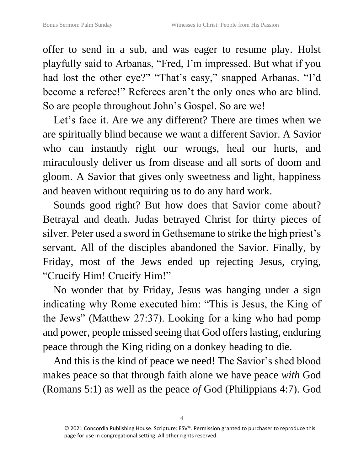offer to send in a sub, and was eager to resume play. Holst playfully said to Arbanas, "Fred, I'm impressed. But what if you had lost the other eye?" "That's easy," snapped Arbanas. "I'd become a referee!" Referees aren't the only ones who are blind. So are people throughout John's Gospel. So are we!

Let's face it. Are we any different? There are times when we are spiritually blind because we want a different Savior. A Savior who can instantly right our wrongs, heal our hurts, and miraculously deliver us from disease and all sorts of doom and gloom. A Savior that gives only sweetness and light, happiness and heaven without requiring us to do any hard work.

Sounds good right? But how does that Savior come about? Betrayal and death. Judas betrayed Christ for thirty pieces of silver. Peter used a sword in Gethsemane to strike the high priest's servant. All of the disciples abandoned the Savior. Finally, by Friday, most of the Jews ended up rejecting Jesus, crying, "Crucify Him! Crucify Him!"

No wonder that by Friday, Jesus was hanging under a sign indicating why Rome executed him: "This is Jesus, the King of the Jews" (Matthew 27:37). Looking for a king who had pomp and power, people missed seeing that God offers lasting, enduring peace through the King riding on a donkey heading to die.

And this is the kind of peace we need! The Savior's shed blood makes peace so that through faith alone we have peace *with* God (Romans 5:1) as well as the peace *of* God (Philippians 4:7). God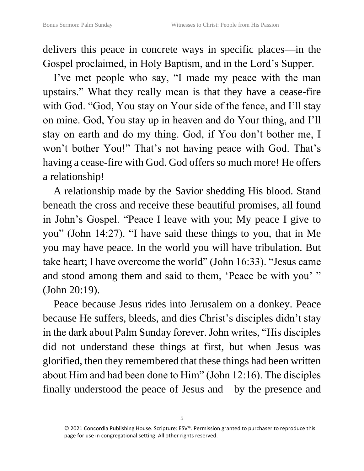delivers this peace in concrete ways in specific places—in the Gospel proclaimed, in Holy Baptism, and in the Lord's Supper.

I've met people who say, "I made my peace with the man upstairs." What they really mean is that they have a cease-fire with God. "God, You stay on Your side of the fence, and I'll stay on mine. God, You stay up in heaven and do Your thing, and I'll stay on earth and do my thing. God, if You don't bother me, I won't bother You!" That's not having peace with God. That's having a cease-fire with God. God offers so much more! He offers a relationship!

A relationship made by the Savior shedding His blood. Stand beneath the cross and receive these beautiful promises, all found in John's Gospel. "Peace I leave with you; My peace I give to you" (John 14:27). "I have said these things to you, that in Me you may have peace. In the world you will have tribulation. But take heart; I have overcome the world" (John 16:33). "Jesus came and stood among them and said to them, 'Peace be with you'" (John 20:19).

Peace because Jesus rides into Jerusalem on a donkey. Peace because He suffers, bleeds, and dies Christ's disciples didn't stay in the dark about Palm Sunday forever. John writes, "His disciples did not understand these things at first, but when Jesus was glorified, then they remembered that these things had been written about Him and had been done to Him" (John 12:16). The disciples finally understood the peace of Jesus and—by the presence and

<sup>© 2021</sup> Concordia Publishing House. Scripture: ESV®. Permission granted to purchaser to reproduce this page for use in congregational setting. All other rights reserved.